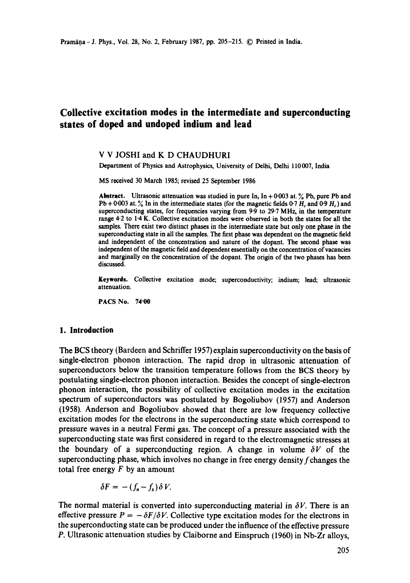# **Collective excitation modes in the intermediate and superconducting states of doped and undoped indium and lead**

# V V JOSHI and K D CHAUDHURI

Department of Physics and Astrophysics, University of Delhi, Delhi 110 007, India

MS received 30 March 1985; revised 25 September 1986

**Abstract.** Ultrasonic attenuation was studied in pure In,  $\ln + 0.003$  at. % Pb, pure Pb and Pb + 0-003 at.  $\%$  In in the intermediate states (for the magnetic fields 0-7  $H_c$  and 0-9  $H_c$ ) and superconducting states, for frequencies varying from 9.9 to 29.7 MHz, in the temperature range 4.2 to 1.4 K. Collective excitation modes were observed in both the states for all the samples. There exist two distinct phases in the intermediate state but only one phase in the superconducting state in all the samples. The first phase was dependent on the magnetic field and independent of the concentration and nature of the dopant. The second phase **was**  independent of the magnetic field and dependent essentially on the concentration of vacancies and marginally on the concentration of the dopant. The origin of the two phases has been discussed.

**Keywords.** Collective excitation mode; superconductivity; indium; lead; ultrasonic attenuation.

PACS No. 74"00

#### **1. Introduction**

The BCS theory (Bardeen and Schriffer 1957) explain superconductivity on the basis of single-electron phonon interaction. The rapid drop in ultrasonic attenuation of superconductors below the transition temperature follows from the BCS theory by postulating single-electron phonon interaction. Besides the concept of single-electron phonon interaction, the possibility of collective excitation modes in the excitation spectrum of superconductors was postulated by Bogoliubov (1957) and Anderson (1958). Anderson and Bogoliubov showed that there are low frequency collective excitation modes for the electrons in the superconducting state which correspond to pressure waves in a neutral Fermi gas. The concept of a pressure associated with the superconducting state was first considered in regard to the electromagnetic stresses at the boundary of a superconducting region. A change in volume  $\delta V$  of the superconducting phase, which involves no change in free energy density  $f$  changes the total free energy  $F$  by an amount

$$
\delta F = -(f_n - f_s) \delta V.
$$

The normal material is converted into superconducting material in  $\delta V$ . There is an effective pressure  $P = -\delta F/\delta V$ . Collective type excitation modes for the electrons in the superconducting state can be produced under the influence of the effective pressure P. Ultrasonic attenuation studies by Claiborne and Einspruch (1960) in Nb-Zr alloys,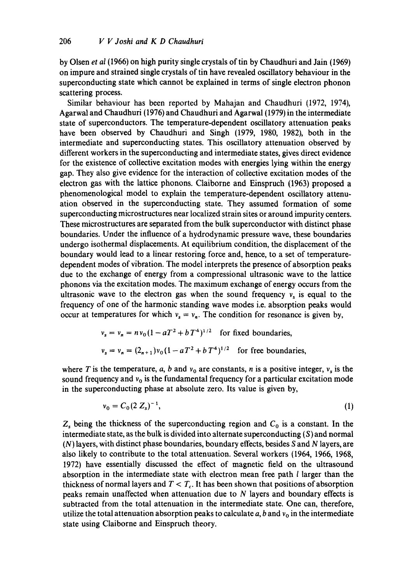by Olsen *et al* (1966) on high purity single crystals of tin by Chaudhuri and Jain (1969) on impure and strained single crystals of tin have revealed oscillatory behaviour in the superconducting state which cannot be explained in terms of single electron phonon scattering process.

Similar behaviour has been reported by Mahajan and Chaudhuri (1972, 1974), Agarwal and Chaudhuri (1976) and Chaudhuri and Agarwal (1979) in the intermediate state of superconductors. The temperature-dependent oscillatory attenuation peaks have been observed by Chaudhuri and Singh (1979, 1980, 1982), both in the intermediate and superconducting states. This oscillatory attenuation observed by different workers in the superconducting and intermediate states, gives direct evidence for the existence of collective excitation modes with energies lying within the energy gap. They also give evidence for the interaction of collective excitation modes of the electron gas with the lattice phonons. Claiborne and Einspruch (1963) proposed a phenomenological model to explain the temperature-dependent oscillatory attenuation observed in the superconducting state. They assumed formation of some superconducting microstructures near localized strain sites or around impurity centers. These microstructures are separated from the bulk superconductor with distinct phase boundaries. Under the influence of a hydrodynamic pressure wave, these boundaries undergo isothermal displacements. At equilibrium condition, the displacement of the boundary would lead to a linear restoring force and, hence, to a set of temperaturedependent modes of vibration. The model interprets the presence of absorption peaks due to the exchange of energy from a compressional ultrasonic wave to the lattice phonons via the excitation modes. The maximum exchange of energy occurs from the ultrasonic wave to the electron gas when the sound frequency  $v_s$  is equal to the frequency of one of the harmonic standing wave modes i.e. absorption peaks would occur at temperatures for which  $v_s = v_n$ . The condition for resonance is given by,

$$
v_s = v_n = n v_0 (1 - aT^2 + bT^4)^{1/2}
$$
 for fixed boundaries,  
 $v_s = v_n = (2_{n+1}) v_0 (1 - aT^2 + bT^4)^{1/2}$  for free boundaries,

where T is the temperature, a, b and  $v_0$  are constants, n is a positive integer,  $v_s$  is the sound frequency and  $v_0$  is the fundamental frequency for a particular excitation mode in the superconducting phase at absolute zero. Its value is given by,

$$
v_0 = C_0 (2 Z_s)^{-1}, \tag{1}
$$

 $Z_s$  being the thickness of the superconducting region and  $C_0$  is a constant. In the intermediate state, as the bulk is divided into alternate superconducting  $(S)$  and normal (N) layers, with distinct phase boundaries, boundary effects, besides S and N layers, are also likely to contribute to the total attenuation. Several workers (1964, 1966, 1968, 1972) have essentially discussed the effect of magnetic field on the ultrasound absorption in the intermediate state with electron mean free path  $l$  larger than the thickness of normal layers and  $T < T_c$ . It has been shown that positions of absorption peaks remain unaffected when attenuation due to N layers and boundary effects is subtracted from the total attenuation in the intermediate state. One can, therefore, utilize the total attenuation absorption peaks to calculate  $a, b$  and  $v_0$  in the intermediate state using Claiborne and Einspruch theory.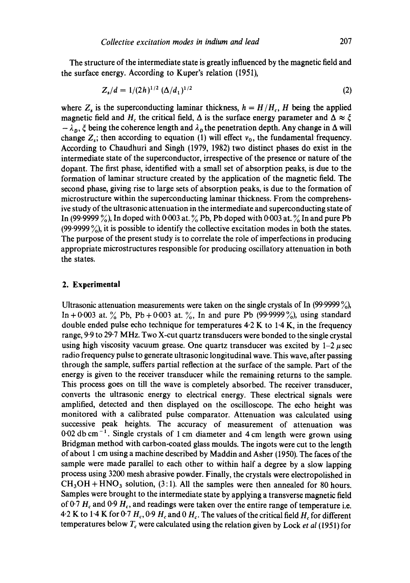The structure of the intermediate state is greatly influenced by the magnetic field and the surface energy. According to Kuper's relation (1951),

$$
Z_s/d = 1/(2h)^{1/2} \left(\frac{\Delta}{d_1}\right)^{1/2} \tag{2}
$$

where  $Z_s$  is the superconducting laminar thickness,  $h = H/H_c$ , H being the applied magnetic field and H<sub>c</sub> the critical field,  $\Delta$  is the surface energy parameter and  $\Delta \approx \xi$  $-\lambda_p$ ,  $\xi$  being the coherence length and  $\lambda_p$  the penetration depth. Any change in  $\Delta$  will change  $Z_s$ ; then according to equation (1) will effect  $v_0$ , the fundamental frequency. According to Chaudhuri and Singh (1979, 1982) two distinct phases do exist in the intermediate state of the superconductor, irrespective of the presence or nature of the dopant. The first phase, identified with a small set of absorption peaks, is due to the formation of laminar structure created by the application of the magnetic field. The second phase, giving rise to large sets of absorption peaks, is due to the formation of microstructure within the superconducting laminar thickness. From the comprehensive study of the ultrasonic attenuation in the intermediate and superconducting state of In (99.9999 %), In doped with 0.003 at. % Pb, Pb doped with 0.003 at. % In and pure Pb (99.9999 $\%$ ), it is possible to identify the collective excitation modes in both the states. The purpose of the present study is to correlate the role of imperfections in producing appropriate microstructures responsible for producing oscillatory attenuation in both the states.

## **2. Experimental**

Ultrasonic attenuation measurements were taken on the single crystals of In  $(99.9999\%)$ , In + 0.003 at. % Pb, Pb + 0.003 at. %, In and pure Pb (99.9999%), using standard double ended pulse echo technique for temperatures  $4.2 K$  to  $1.4 K$ , in the frequency range, 9-9 to 29.7 MHz. Two X-cut quartz transducers were bonded to the single crystal using high viscosity vacuum grease. One quartz transducer was excited by  $1-2 \mu$  sec radio frequency pulse to generate ultrasonic longitudinal wave. This wave, after passing through the sample, suffers partial reflection at the surface of the sample. Part of the energy is given to the receiver transducer while the remaining returns to the sample. This process goes on till the wave is completely absorbed. The receiver transducer, converts the ultrasonic energy to electrical energy. These electrical signals were amplified, detected and then displayed on the oscilloscope. The echo height was monitored with a calibrated pulse comparator. Attenuation was calculated using successive peak heights. The accuracy of measurement of attenuation was  $0.02$  db cm<sup>-1</sup>. Single crystals of 1 cm diameter and 4 cm length were grown using Bridgman method with carbon-coated glass moulds. The ingots were cut to the length of about 1 cm using a machine described by Maddin and Asher (1950). The faces of the sample were made parallel to each other to within half a degree by a slow lapping process using 3200 mesh abrasive powder. Finally, the crystals were electropolished in  $CH<sub>3</sub>OH + HNO<sub>3</sub>$  solution, (3:1). All the samples were then annealed for 80 hours. Samples were brought to the intermediate state by applying a transverse magnetic field of 0.7  $H_c$  and 0.9  $H_c$ , and readings were taken over the entire range of temperature i.e. 4.2 K to 1.4 K for 0.7  $H_c$ , 0.9  $H_c$  and 0  $H_c$ . The values of the critical field  $H_c$  for different temperatures below  $T_c$  were calculated using the relation given by Lock *et al* (1951) for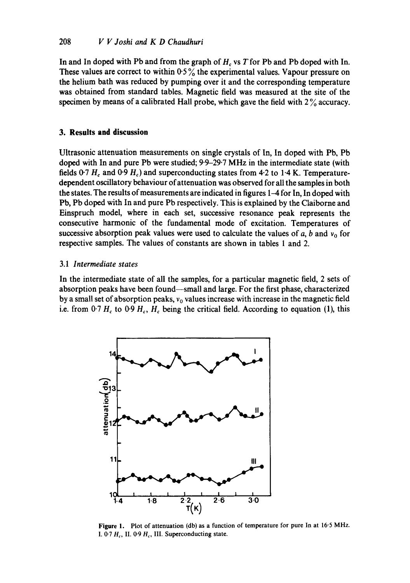In and In doped with Pb and from the graph of  $H<sub>c</sub>$  vs T for Pb and Pb doped with In. These values are correct to within  $0.5\%$  the experimental values. Vapour pressure on the helium bath was reduced by pumping over it and the corresponding temperature was obtained from standard tables. Magnetic field was measured at the site of the specimen by means of a calibrated Hall probe, which gave the field with  $2\%$  accuracy.

# **3. Results and discussion**

Ultrasonic attenuation measurements on single crystals of In, In doped with Pb, Pb doped with In and pure Pb were studied; 9.9-29.7 MHz in the intermediate state (with fields  $0.7 H_c$  and  $0.9 H_c$ ) and superconducting states from 4.2 to 1.4 K. Temperaturedependent oscillatory behaviour of attenuation was observed for all the samples in both the states. The results of measurements are indicated in figures 1–4 for In, In doped with Pb, Pb doped with In and pure Pb respectively. This is explained by the Claiborne and Einspruch model, where in each set, successive resonance peak represents the consecutive harmonic of the fundamental mode of excitation. Temperatures of successive absorption peak values were used to calculate the values of  $a$ ,  $b$  and  $v_0$  for respective samples. The values of constants are shown in tables 1 and 2.

# 3.1 *Intermediate states*

In the intermediate state of all the samples, for a particular magnetic field, 2 sets of absorption peaks have been found--small and large. For the first phase, characterized by a small set of absorption peaks,  $v_0$  values increase with increase in the magnetic field i.e. from 0.7  $H_c$  to 0.9  $H_c$ ,  $H_c$  being the critical field. According to equation (1), this



Figure 1. Plot of attenuation (db) as a function of temperature for pure In at 16.5 MHz. I.  $0.7 H_c$ , II.  $0.9 H_c$ , III. Superconducting state.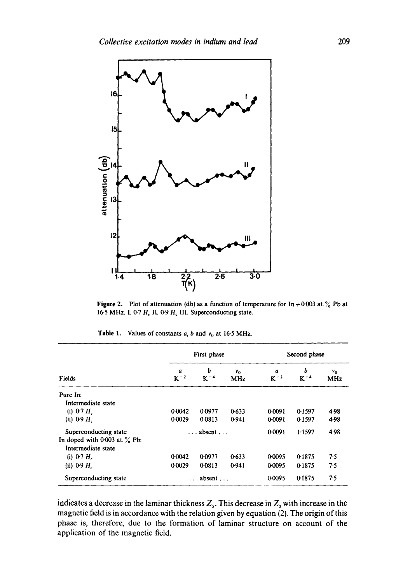

**Figure 2.** Plot of attenuation (db) as a function of temperature for  $\ln +0.003$  at. % Pb at 16.5 MHz. I. 0.7  $H_c$  II. 0.9  $H_c$  III. Superconducting state.

|                                   | First phase  |                          |                     | Second phase  |               |                |  |
|-----------------------------------|--------------|--------------------------|---------------------|---------------|---------------|----------------|--|
| Fields                            | a<br>$K - 2$ | Ь<br>$K - 4$             | $v_0$<br><b>MHz</b> | a<br>$K^{-2}$ | ь<br>$K^{-4}$ | $v_0$<br>· MHz |  |
| Pure In:                          |              |                          |                     |               |               |                |  |
| Intermediate state                |              |                          |                     |               |               |                |  |
| (i) 0.7 $H_c$                     | 0.0042       | 0.0977                   | 0.633               | 0.0091        | 0.1597        | 4.98           |  |
| (ii) 0.9 $H_c$                    | 0.0029       | 0.0813                   | 0.941               | 0.0091        | 0.1597        | 4.98           |  |
| Superconducting state             |              | $\ldots$ absent $\ldots$ |                     | 0.0091        | 1.1597        | 4.98           |  |
| In doped with $0.003$ at $\%$ Pb: |              |                          |                     |               |               |                |  |
| Intermediate state                |              |                          |                     |               |               |                |  |
| (i) 0.7 $H_c$                     | 0.0042       | 0.0977                   | 0.633               | 0.0095        | 0-1875        | 7.5            |  |
| (ii) $0.9 H_c$                    | 0.0029       | 0.0813                   | 0.941               | 0.0095        | 0.1875        | 7.5            |  |
| Superconducting state             |              | $\ldots$ absent $\ldots$ |                     | 0.0095        | 0.1875        | 7.5            |  |

**Table 1.** Values of constants  $a$ ,  $b$  and  $v_0$  at 16.5 MHz.

indicates a decrease in the laminar thickness  $Z_s$ . This decrease in  $Z_s$  with increase in the magnetic field is in accordance with the relation given by equation (2). The origin of this phase is, therefore, due to the formation of laminar structure on account of the application of the magnetic field.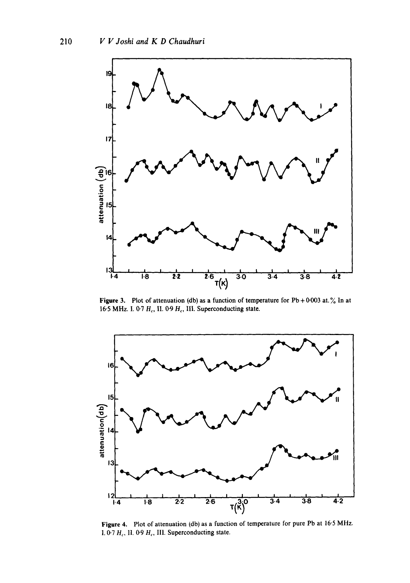

Figure 3. Plot of attenuation (db) as a function of temperature for  $Pb + 0.003$  at.  $\%$  In at 16.5 MHz. I. 0-7  $H_c$ , II. 0-9  $H_c$ , III. Superconducting state.



Figure 4. Plot of attenuation (db) as a function of temperature for pure Pb at 16'5 MHz. 1. 0.7  $H_c$ , 11. 0.9  $H_c$ , 111. Superconducting state.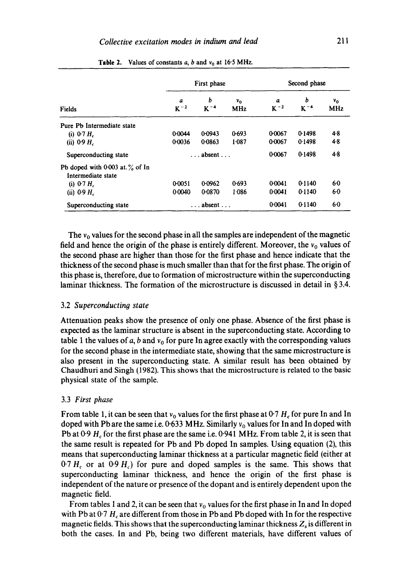|                                                         | First phase              |                 |                              | Second phase  |              |                       |  |
|---------------------------------------------------------|--------------------------|-----------------|------------------------------|---------------|--------------|-----------------------|--|
| Fields                                                  | a<br>$K^{-2}$            | b<br>$K - 4$    | ν <sub>ο</sub><br><b>MHz</b> | a<br>$K^{-2}$ | b<br>$K - 4$ | ν <sub>0</sub><br>MHz |  |
| Pure Pb Intermediate state                              |                          |                 |                              |               |              |                       |  |
| (i) $0.7 H_c$                                           | 0.0044                   | 0.0943          | 0.693                        | 0.0067        | 0.1498       | 4.8                   |  |
| (ii) $0.9 H_c$                                          | 0.0036                   | 0.0863          | 1.087                        | 0.0067        | 0.1498       | 4.8                   |  |
| Superconducting state                                   | $\ldots$ absent $\ldots$ |                 |                              | 0.0067        | 0.1498       | $4-8$                 |  |
| Pb doped with 0.003 at $\%$ of In<br>Intermediate state |                          |                 |                              |               |              |                       |  |
| (i) $0.7 H_c$                                           | 0.0051                   | 0.0962          | 0.693                        | 0.0041        | 0.1140       | 60                    |  |
| (ii) $0.9 H_c$                                          | 0.0040                   | 0.0870          | 1.086                        | 0.0041        | 0.1140       | 60                    |  |
| Superconducting state                                   |                          | absent $\ldots$ |                              | 0.0041        | 0.1140       | 60                    |  |

**Table 2.** Values of constants a, b and  $v_0$  at 16.5 MHz.

The  $v_0$  values for the second phase in all the samples are independent of the magnetic field and hence the origin of the phase is entirely different. Moreover, the  $v_0$  values of the second phase are higher than those for the first phase and hence indicate that the thickness of the second phase is much smaller than that for the first phase. The origin of this phase is, therefore, due to formation of microstructure within the superconducting laminar thickness. The formation of the microstructure is discussed in detail in § 3.4.

#### 3.2 *Superconducting state*

Attenuation peaks show the presence of only one phase. Absence of the first phase is expected as the laminar structure is absent in the superconducting state. According to table 1 the values of a, b and  $v_0$  for pure In agree exactly with the corresponding values for the second phase in the intermediate state, showing that the same microstructure is also present in the superconducting state. A similar result has been obtained by Chaudhuri and Singh (1982). This shows that the microstructure is related to the basic physical state of the sample.

#### 3.3 *First phase*

From table 1, it can be seen that  $v_0$  values for the first phase at 0.7 H<sub>c</sub> for pure In and In doped with Pb are the same i.e.  $0.633$  MHz. Similarly  $v<sub>0</sub>$  values for In and In doped with Pb at 0.9  $H_c$  for the first phase are the same i.e. 0.941 MHz. From table 2, it is seen that the same result is repeated for Pb and Pb doped In samples. Using equation (2), this means that superconducting laminar thickness at a particular magnetic field (either at  $0.7 H_c$  or at  $0.9 H_c$ ) for pure and doped samples is the same. This shows that superconducting laminar thickness, and hence the origin of the first phase is independent of the nature or presence of the dopant and is entirely dependent upon the magnetic field.

From tables 1 and 2, it can be seen that  $v_0$  values for the first phase in In and In doped with Pb at  $0.7 H_c$  are different from those in Pb and Pb doped with In for the respective magnetic fields. This shows that the superconducting laminar thickness  $Z<sub>s</sub>$  is different in both the cases. In and Pb, being two different materials, have different values of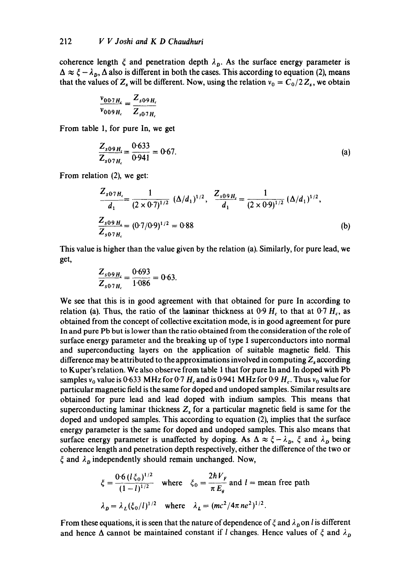coherence length  $\zeta$  and penetration depth  $\lambda_p$ . As the surface energy parameter is  $\Delta \approx \xi - \lambda_D$ ,  $\Delta$  also is different in both the cases. This according to equation (2), means that the values of  $Z_s$  will be different. Now, using the relation  $v_0 = C_0/2 Z_s$ , we obtain

$$
\frac{v_{007H_c}}{v_{009H_c}} = \frac{Z_{s09H_c}}{Z_{s07H_c}}
$$

From table 1, for pure In, we get

$$
\frac{Z_{s09H_s}}{Z_{s07H_s}} = \frac{0.633}{0.941} = 0.67.
$$
 (a)

From relation (2), we get:

$$
\frac{Z_{s07H_c}}{d_1} = \frac{1}{(2 \times 0.7)^{1/2}} \left(\frac{\Delta}{d_1}\right)^{1/2}, \quad \frac{Z_{s09H_c}}{d_1} = \frac{1}{(2 \times 0.9)^{1/2}} \left(\frac{\Delta}{d_1}\right)^{1/2},
$$
\n
$$
\frac{Z_{s09H_c}}{Z_{s07H_c}} = (0.7/0.9)^{1/2} = 0.88
$$
\n(b)

This value is higher than the value given by the relation (a). Similarly, for pure lead, we get,

$$
\frac{Z_{s09H_s}}{Z_{s07H_c}} = \frac{0.693}{1.086} = 0.63.
$$

We see that this is in good agreement with that obtained for pure In according to relation (a). Thus, the ratio of the laminar thickness at  $0.9 H_c$  to that at  $0.7 H_c$ , as obtained from the concept of collective excitation mode, is in good agreement for pure In and pure Pb but is lower than the ratio obtained from the consideration of the role of surface energy parameter and the breaking up of type I superconductors into normal and superconducting layers on the application of suitable magnetic field. This difference may be attributed to the approximations involved in computing  $Z_s$  according to Kuper's relation. We also observe from table 1 that for pure In and In doped with Pb samples  $v_0$  value is 0.633 MHz for 0.7  $H_c$  and is 0.941 MHz for 0.9  $H_c$ . Thus  $v_0$  value for particular magnetic field is the same for doped and undoped samples. Similar results are obtained for pure lead and lead doped with indium samples. This means that superconducting laminar thickness  $Z<sub>s</sub>$  for a particular magnetic field is same for the doped and undoped samples. This according to equation (2), implies that the surface energy parameter is the same for doped and undoped samples. This also means that surface energy parameter is unaffected by doping. As  $\Delta \approx \xi - \lambda_D$ ,  $\xi$  and  $\lambda_D$  being coherence length and penetration depth respectively, either the difference of the two or  $\xi$  and  $\lambda_p$  independently should remain unchanged. Now,

$$
\xi = \frac{0.6 (l \xi_0)^{1/2}}{(1 - l)^{1/2}} \quad \text{where} \quad \xi_0 = \frac{2\hbar V_F}{\pi E_g} \text{ and } l = \text{mean free path}
$$
\n
$$
\lambda_D = \lambda_L (\xi_0 / l)^{1/2} \quad \text{where} \quad \lambda_L = (mc^2 / 4\pi n e^2)^{1/2}.
$$

From these equations, it is seen that the nature of dependence of  $\xi$  and  $\lambda_p$  on l is different and hence  $\Delta$  cannot be maintained constant if l changes. Hence values of  $\zeta$  and  $\lambda_p$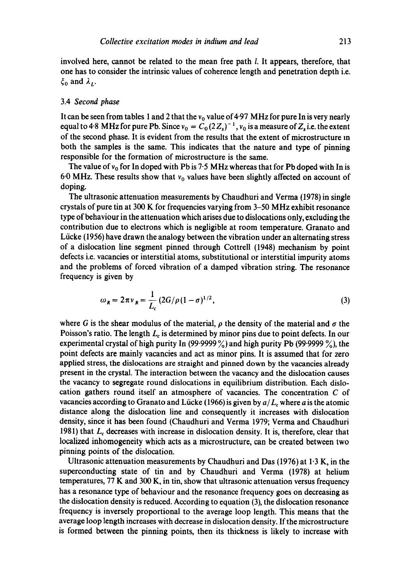involved here, cannot be related to the mean free path 1. It appears, therefore, that one has to consider the intrinsic values of coherence length and penetration depth i.e.  $\xi_0$  and  $\lambda_L$ .

#### 3.4 *Second phase*

It can be seen from tables 1 and 2 that the  $v_0$  value of 4.97 MHz for pure In is very nearly equal to 4.8 MHz for pure Pb. Since  $v_0 = C_0 (2Z_s)^{-1}$ ,  $v_0$  is a measure of  $Z_s$  i.e. the extent of the second phase. It is evident from the results that the extent of microstructure m both the samples is the same. This indicates that the nature and type of pinning responsible for the formation of microstructure is the same.

The value of  $v_0$  for In doped with Pb is 7.5 MHz whereas that for Pb doped with In is 60 MHz. These results show that  $v_0$  values have been slightly affected on account of doping.

The ultrasonic attenuation measurements by Chaudhuri and Verma (1978) in single crystals of pure tin at 300 K for frequencies varying from 3-50 MHz exhibit resonance type of behaviour in the attenuation which arises due to dislocations only, excluding the contribution due to electrons which is negligible at room temperature. Granato and Liicke (1956) have drawn the analogy between the vibration under an alternating stress of a dislocation line segment pinned through Cottrell (1948) mechanism by point defects i.e. vacancies or interstitial atoms, substitutional or interstitial impurity atoms and the problems of forced vibration of a damped vibration string. The resonance frequency is given by

$$
\omega_R = 2\pi v_R = \frac{1}{L_c} (2G/\rho (1-\sigma)^{1/2}, \qquad (3)
$$

where G is the shear modulus of the material,  $\rho$  the density of the material and  $\sigma$  the Poisson's ratio. The length  $L<sub>c</sub>$  is determined by minor pins due to point defects. In our experimental crystal of high purity In (99.9999  $\%$ ) and high purity Pb (99.9999  $\%$ ), the point defects are mainly vacancies and act as minor pins. It is assumed that for zero applied stress, the dislocations are straight and pinned down by the vacancies already present in the crystal. The interaction between the vacancy and the dislocation causes the vacancy to segregate round dislocations in equilibrium distribution. Each dislocation gathers round itself an atmosphere of vacancies. The concentration C of vacancies according to Granato and Lücke (1966) is given by  $a/L_c$  where a is the atomic distance along the dislocation line and consequently it increases with dislocation density, since it has been found (Chaudhuri and Verma 1979; Verma and Chaudhuri 1981) that  $L_c$  decreases with increase in dislocation density. It is, therefore, clear that localized inhomogeneity which acts as a microstructure, can be created between two pinning points of the dislocation.

Ultrasonic attenuation measurements by Chaudhuri and Das (1976) at  $1.3$  K, in the superconducting state of tin and by Chaudhuri and Verma (1978) at helium temperatures, 77 K and 300 K, in tin, show that ultrasonic attenuation versus frequency has a resonance type of behaviour and the resonance frequency goes on decreasing as the dislocation density is reduced. According to equation (3), the dislocation resonance frequency is inversely proportional to the average loop length. This means that the average loop length increases with decrease in dislocation density. If the microstructure is formed between the pinning points, then its thickness is likely to increase with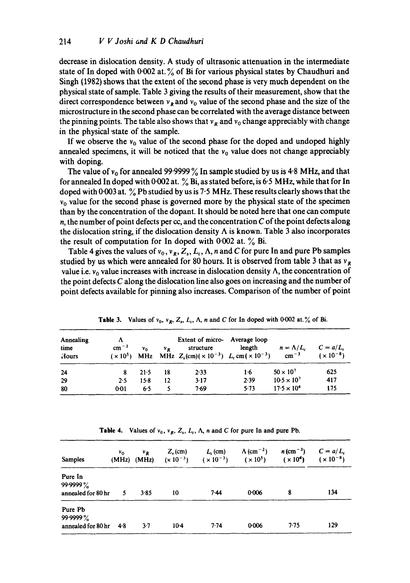decrease in dislocation density. A study of ultrasonic attenuation in the intermediate state of In doped with  $0.002$  at.  $\%$  of Bi for various physical states by Chaudhuri and Singh (1982) shows that the extent of the second phase is very much dependent on the physical state of sample. Table 3 giving the results of their measurement, show that the direct correspondence between  $v_R$  and  $v_0$  value of the second phase and the size of the microstructure in the second phase can be correlated with the average distance between the pinning points. The table also shows that  $v_R$  and  $v_0$  change appreciably with change in the physical "state of the sample.

If we observe the  $v_0$  value of the second phase for the doped and undoped highly annealed specimens, it will be noticed that the  $v<sub>0</sub>$  value does not change appreciably with doping.

The value of  $v_0$  for annealed 99.9999% In sample studied by us is 4.8 MHz, and that for annealed In doped with 0.002 at.  $\%$  Bi, as stated before, is 6.5 MHz, while that for In doped with 0.003 at.  $\%$  Pb studied by us is 7.5 MHz. These results clearly shows that the  $v_0$  value for the second phase is governed more by the physical state of the specimen than by the concentration of the dopant. It should be noted here that one can compute n, the number of point defects per cc, and the concentration  $C$  of the point defects along the dislocation string, if the dislocation density  $\Lambda$  is known. Table 3 also incorporates the result of computation for In doped with 0.002 at.  $\%$  Bi.

Table 4 gives the values of  $v_0$ ,  $v_g$ ,  $Z_s$ ,  $L_c$ ,  $\Lambda$ , n and C for pure In and pure Pb samples studied by us which were annealed for 80 hours. It is observed from table 3 that as  $v_R$ value i.e.  $v_0$  value increases with increase in dislocation density  $\Lambda$ , the concentration of the point defects  $C$  along the dislocation line also goes on increasing and the number of point defects available for pinning also increases. Comparison of the number of point

| Annealing<br>time<br>Hours | Λ<br>$cm^{-2}$ | $v_{0}$ | ν. | Extent of micro- Average loop<br>structure<br>$(x 10^5)$ MHz MHz $Z_s$ (cm) $(x 10^{-3})$ $L_c$ cm $(x 10^{-3})$ | length | $n = \Lambda/L_c$<br>$\text{cm}^{-3}$ | $C = a/L$<br>$(x 10^{-8})$ |
|----------------------------|----------------|---------|----|------------------------------------------------------------------------------------------------------------------|--------|---------------------------------------|----------------------------|
| 24                         |                | 21.5    | 18 | 2.33                                                                                                             | 16     | $50 \times 10^{7}$                    | 625                        |
| 29                         | 2.5            | $15-8$  | 12 | 3.17                                                                                                             | 2.39   | $10.5 \times 10^{7}$                  | 417                        |
| 80                         | 0:01           | 65      |    | 7.69                                                                                                             | 5.73   | $17.5 \times 10^{4}$                  | 175                        |

**Table 3.** Values of  $v_0$ ,  $v_R$ ,  $Z_s$ ,  $L_c$ ,  $\Lambda$ , n and C for In doped with 0-002 at. % of Bi.

**Table 4.** Values of  $v_0$ ,  $v_R$ ,  $Z_s$ ,  $L_c$ ,  $\Lambda$ , n and C for pure In and pure Pb.

| <b>Samples</b>                            | V <sub>0</sub> | $v_R$<br>$(MHz)$ $(MHz)$ | $Z_{\rm s}$ (cm) | $L_c$ (cm)<br>$(x 10^{-3})$ $(x 10^{-3})$ | $\Lambda$ (cm <sup>-2</sup> )<br>$(x 10^5)$ | $n \, (\text{cm}^{-3})$<br>(x 10 <sup>4</sup> ) | $C = a/L_c$<br>$(x 10^{-8})$ |
|-------------------------------------------|----------------|--------------------------|------------------|-------------------------------------------|---------------------------------------------|-------------------------------------------------|------------------------------|
|                                           |                |                          |                  |                                           |                                             |                                                 |                              |
| Pure In<br>99.9999%<br>annealed for 80 hr | 5              | $3 - 85$                 | 10               | 7.44                                      | 0.006                                       | 8                                               | 134                          |
| Pure Pb<br>99.9999%<br>annealed for 80 hr | 48             | $3-7$                    | $10-4$           | $7-74$                                    | 0.006                                       | 7.75                                            | 129                          |